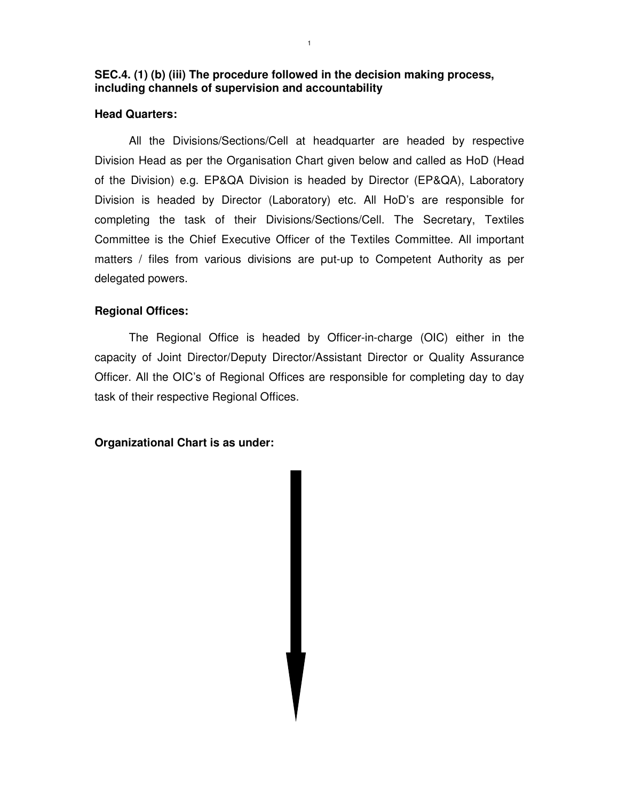## **SEC.4. (1) (b) (iii) The procedure followed in the decision making process, including channels of supervision and accountability**

#### **Head Quarters:**

All the Divisions/Sections/Cell at headquarter are headed by respective Division Head as per the Organisation Chart given below and called as HoD (Head of the Division) e.g. EP&QA Division is headed by Director (EP&QA), Laboratory Division is headed by Director (Laboratory) etc. All HoD's are responsible for completing the task of their Divisions/Sections/Cell. The Secretary, Textiles Committee is the Chief Executive Officer of the Textiles Committee. All important matters / files from various divisions are put-up to Competent Authority as per delegated powers.

## **Regional Offices:**

 The Regional Office is headed by Officer-in-charge (OIC) either in the capacity of Joint Director/Deputy Director/Assistant Director or Quality Assurance Officer. All the OIC's of Regional Offices are responsible for completing day to day task of their respective Regional Offices.

#### **Organizational Chart is as under:**